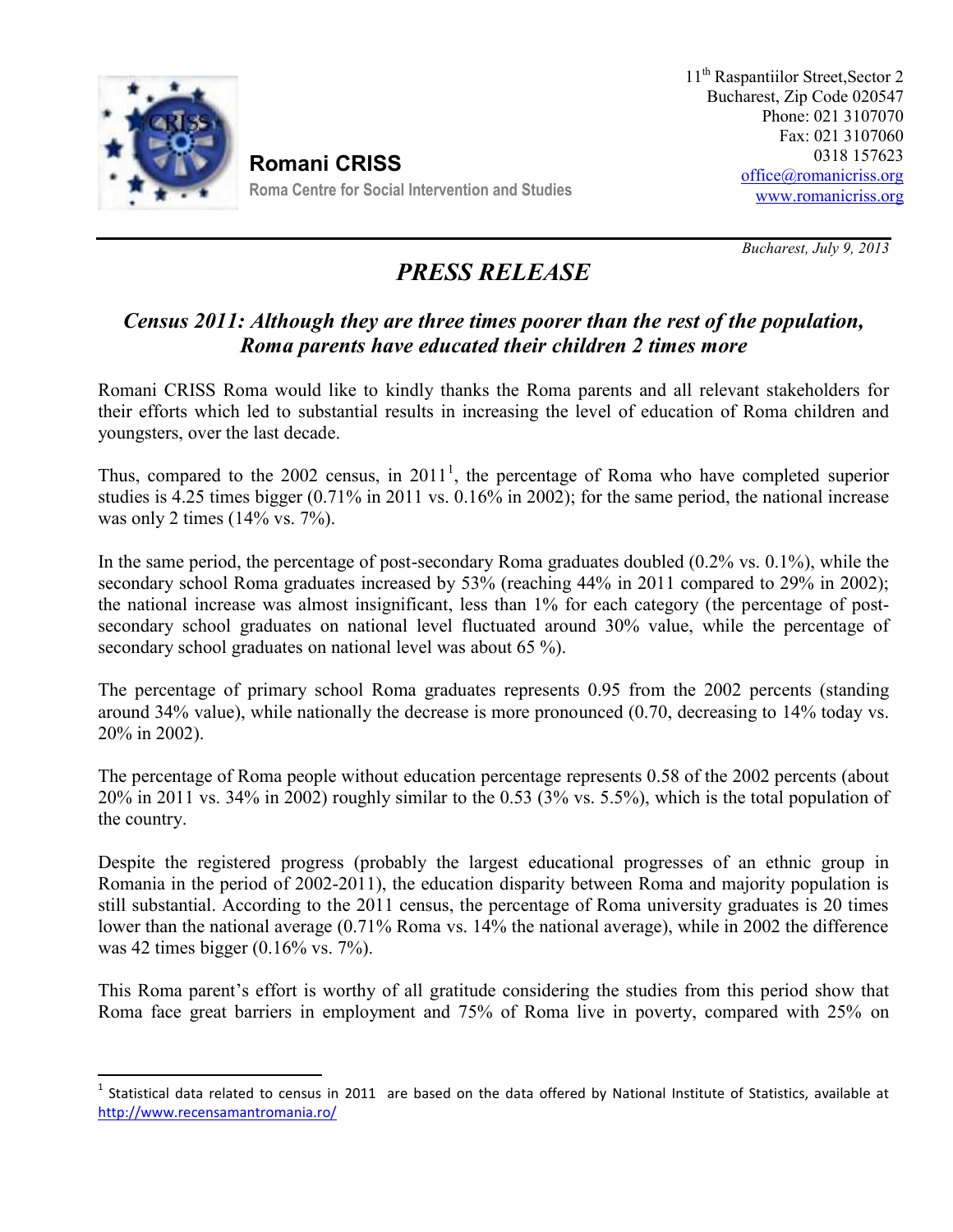

**Romani CRISS Roma Centre for Social Intervention and Studies**

*Bucharest, July 9, 2013*

## *PRESS RELEASE*

## *Census 2011: Although they are three times poorer than the rest of the population, Roma parents have educated their children 2 times more*

Romani CRISS Roma would like to kindly thanks the Roma parents and all relevant stakeholders for their efforts which led to substantial results in increasing the level of education of Roma children and youngsters, over the last decade.

Thus, compared to the 2002 census, in  $2011<sup>1</sup>$ , the percentage of Roma who have completed superior studies is 4.25 times bigger (0.71% in 2011 vs. 0.16% in 2002); for the same period, the national increase was only 2 times (14% vs. 7%).

In the same period, the percentage of post-secondary Roma graduates doubled (0.2% vs. 0.1%), while the secondary school Roma graduates increased by 53% (reaching 44% in 2011 compared to 29% in 2002); the national increase was almost insignificant, less than 1% for each category (the percentage of post secondary school graduates on national level fluctuated around 30% value, while the percentage of secondary school graduates on national level was about 65 %).

The percentage of primary school Roma graduates represents 0.95 from the 2002 percents (standing around 34% value), while nationally the decrease is more pronounced (0.70, decreasing to 14% today vs. 20% in 2002).

The percentage of Roma people without education percentage represents 0.58 of the 2002 percents (about 20% in 2011 vs. 34% in 2002) roughly similar to the 0.53 (3% vs. 5.5%), which is the total population of the country.

Despite the registered progress (probably the largest educational progresses of an ethnic group in Romania in the period of 2002-2011), the education disparity between Roma and majority population is still substantial. According to the 2011 census, the percentage of Roma university graduates is 20 times lower than the national average (0.71% Roma vs. 14% the national average), while in 2002 the difference was 42 times bigger (0.16% vs. 7%).

This Roma parent's effort is worthy of all gratitude considering the studies from this period show that Roma face great barriers in employment and 75% of Roma live in poverty, compared with 25% on

 $1$  Statistical data related to census in 2011 are based on the data offered by National Institute of Statistics, available at http://www.recensamantromania.ro/